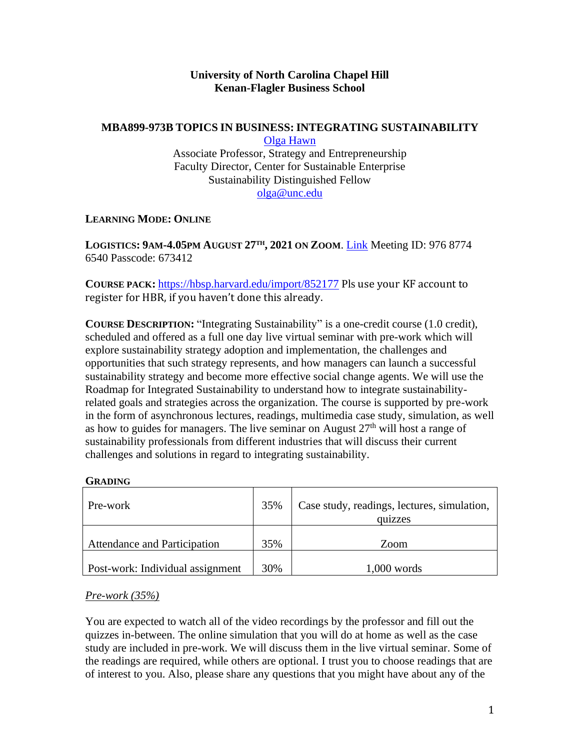## **University of North Carolina Chapel Hill Kenan-Flagler Business School**

### **MBA899-973B TOPICS IN BUSINESS:INTEGRATING SUSTAINABILITY**

[Olga Hawn](https://olgahawn.web.unc.edu/) Associate Professor, Strategy and Entrepreneurship Faculty Director, Center for Sustainable Enterprise Sustainability Distinguished Fellow [olga@unc.edu](mailto:olga@unc.edu)

## **LEARNING MODE: ONLINE**

**LOGISTICS: 9AM-4.05PM AUGUST 27TH , 2021 ON ZOOM**. [Link](https://kenan-flagler.zoom.us/j/97687746540?pwd=TFBLSEhKM0hVSmY5ZWh2R2FHQjV5QT09) Meeting ID: 976 8774 6540 Passcode: 673412

**COURSE PACK:** <https://hbsp.harvard.edu/import/852177> Pls use your KF account to register for HBR, if you haven't done this already.

**COURSE DESCRIPTION: "Integrating Sustainability" is a one-credit course (1.0 credit),** scheduled and offered as a full one day live virtual seminar with pre-work which will explore sustainability strategy adoption and implementation, the challenges and opportunities that such strategy represents, and how managers can launch a successful sustainability strategy and become more effective social change agents. We will use the Roadmap for Integrated Sustainability to understand how to integrate sustainabilityrelated goals and strategies across the organization. The course is supported by pre-work in the form of asynchronous lectures, readings, multimedia case study, simulation, as well as how to guides for managers. The live seminar on August  $27<sup>th</sup>$  will host a range of sustainability professionals from different industries that will discuss their current challenges and solutions in regard to integrating sustainability.

#### **GRADING**

| Pre-work                                | 35% | Case study, readings, lectures, simulation,<br>quizzes |  |  |
|-----------------------------------------|-----|--------------------------------------------------------|--|--|
| Attendance and Participation            | 35% | Zoom                                                   |  |  |
| <b>Post-work: Individual assignment</b> | 30% | $1,000$ words                                          |  |  |

#### *Pre-work (35%)*

You are expected to watch all of the video recordings by the professor and fill out the quizzes in-between. The online simulation that you will do at home as well as the case study are included in pre-work. We will discuss them in the live virtual seminar. Some of the readings are required, while others are optional. I trust you to choose readings that are of interest to you. Also, please share any questions that you might have about any of the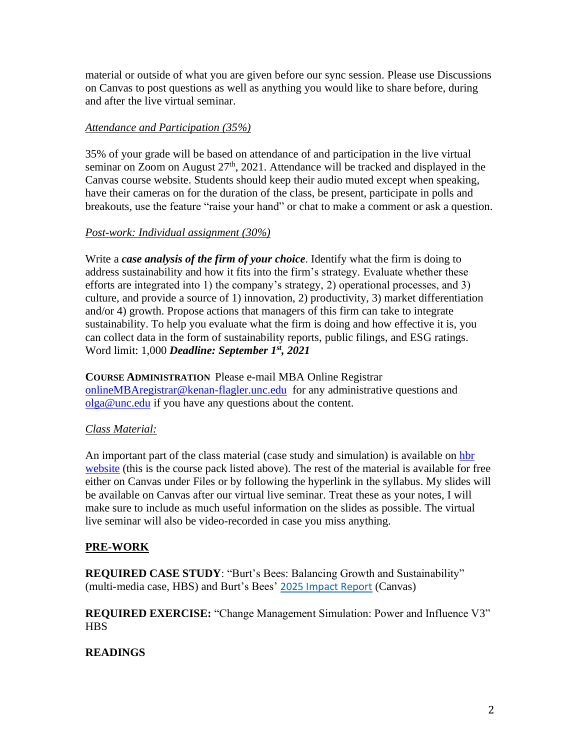material or outside of what you are given before our sync session. Please use Discussions on Canvas to post questions as well as anything you would like to share before, during and after the live virtual seminar.

## *Attendance and Participation (35%)*

35% of your grade will be based on attendance of and participation in the live virtual seminar on Zoom on August  $27<sup>th</sup>$ , 2021. Attendance will be tracked and displayed in the Canvas course website. Students should keep their audio muted except when speaking, have their cameras on for the duration of the class, be present, participate in polls and breakouts, use the feature "raise your hand" or chat to make a comment or ask a question.

# *Post-work: Individual assignment (30%)*

Write a *case analysis of the firm of your choice*. Identify what the firm is doing to address sustainability and how it fits into the firm's strategy. Evaluate whether these efforts are integrated into 1) the company's strategy, 2) operational processes, and 3) culture, and provide a source of 1) innovation, 2) productivity, 3) market differentiation and/or 4) growth. Propose actions that managers of this firm can take to integrate sustainability. To help you evaluate what the firm is doing and how effective it is, you can collect data in the form of sustainability reports, public filings, and ESG ratings. Word limit: 1,000 *Deadline: September 1st, 2021*

**COURSE ADMINISTRATION** Please e-mail MBA Online Registrar [onlineMBAregistrar@kenan-flagler.unc.edu](mailto:onlineMBAregistrar@kenan-flagler.unc.edu) for any administrative questions and [olga@unc.edu](mailto:olga@unc.edu) if you have any questions about the content.

# *Class Material:*

An important part of the class material (case study and simulation) is available on [hbr](https://hbsp.harvard.edu/import/852177)  [website](https://hbsp.harvard.edu/import/852177) (this is the course pack listed above). The rest of the material is available for free either on Canvas under Files or by following the hyperlink in the syllabus. My slides will be available on Canvas after our virtual live seminar. Treat these as your notes, I will make sure to include as much useful information on the slides as possible. The virtual live seminar will also be video-recorded in case you miss anything.

# **PRE-WORK**

**REQUIRED CASE STUDY**: "Burt's Bees: Balancing Growth and Sustainability" (multi-media case, HBS) and Burt's Bees' [2025 Impact Report](https://www.burtsbees.com/on/demandware.static/-/Sites-burtsbees-Library/default/redesign/about-us-landing/NI-53891_313081_BB_CORP_SustReport2020.pdf) (Canvas)

**REQUIRED EXERCISE:** "Change Management Simulation: Power and Influence V3" **HBS** 

# **READINGS**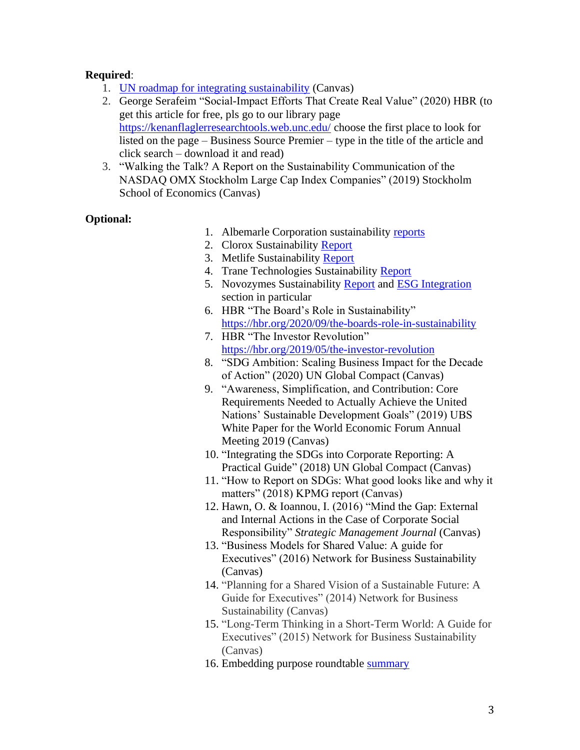## **Required**:

- 1. [UN roadmap for integrating sustainability](https://www.unglobalcompact.org/take-action/leadership/integrate-sustainability/roadmap) (Canvas)
- 2. George Serafeim "Social-Impact Efforts That Create Real Value" (2020) HBR (to get this article for free, pls go to our library page <https://kenanflaglerresearchtools.web.unc.edu/> choose the first place to look for listed on the page – Business Source Premier – type in the title of the article and click search – download it and read)
- 3. "Walking the Talk? A Report on the Sustainability Communication of the NASDAQ OMX Stockholm Large Cap Index Companies" (2019) Stockholm School of Economics (Canvas)

## **Optional:**

- 1. Albemarle Corporation sustainability [reports](https://www.albemarle.com/sustainability/sustainability-reports/resources)
- 2. Clorox Sustainability [Report](https://www.thecloroxcompany.com/responsibility/)
- 3. Metlife Sustainability [Report](https://sustainabilityreport.metlife.com/report/)
- 4. Trane Technologies Sustainability [Report](https://www.tranetechnologies.com/en/index/sustainability/sustainability-reports.html)
- 5. Novozymes Sustainability [Report](https://www.novozymes.com/en/about-us/sustainability/) and [ESG Integration](https://www.novozymes.com/en/about-us/sustainability/esg) section in particular
- 6. HBR "The Board's Role in Sustainability" [https://hbr.org/2020/09/the-boards-role-in-sustainability](https://hbr.org/2020/09/the-boards-role-in-sustainabilityt)
- 7. HBR "The Investor Revolution" <https://hbr.org/2019/05/the-investor-revolution>
- 8. "SDG Ambition: Scaling Business Impact for the Decade of Action" (2020) UN Global Compact (Canvas)
- 9. "Awareness, Simplification, and Contribution: Core Requirements Needed to Actually Achieve the United Nations' Sustainable Development Goals" (2019) UBS White Paper for the World Economic Forum Annual Meeting 2019 (Canvas)
- 10. "Integrating the SDGs into Corporate Reporting: A Practical Guide" (2018) UN Global Compact (Canvas)
- 11. "How to Report on SDGs: What good looks like and why it matters" (2018) KPMG report (Canvas)
- 12. Hawn, O. & Ioannou, I. (2016) "Mind the Gap: External and Internal Actions in the Case of Corporate Social Responsibility" *Strategic Management Journal* (Canvas)
- 13. "Business Models for Shared Value: A guide for Executives" (2016) Network for Business Sustainability (Canvas)
- 14. "Planning for a Shared Vision of a Sustainable Future: A Guide for Executives" (2014) Network for Business Sustainability (Canvas)
- 15. "Long-Term Thinking in a Short-Term World: A Guide for Executives" (2015) Network for Business Sustainability (Canvas)
- 16. Embedding purpose roundtable [summary](https://www.tomorrowscompany.com/wp-content/uploads/2016/05/Embedding-purpose-roundtable-summary-17th-September-1.pdf)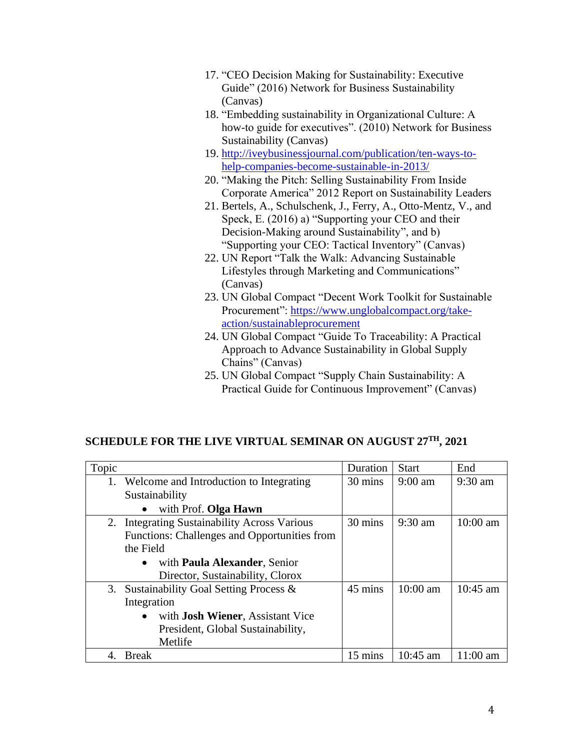- 17. "CEO Decision Making for Sustainability: Executive Guide" (2016) Network for Business Sustainability (Canvas)
- 18. "Embedding sustainability in Organizational Culture: A how-to guide for executives". (2010) Network for Business Sustainability (Canvas)
- 19. [http://iveybusinessjournal.com/publication/ten-ways-to](http://iveybusinessjournal.com/publication/ten-ways-to-help-companies-become-sustainable-in-2013/)[help-companies-become-sustainable-in-2013/](http://iveybusinessjournal.com/publication/ten-ways-to-help-companies-become-sustainable-in-2013/)
- 20. "Making the Pitch: Selling Sustainability From Inside Corporate America" 2012 Report on Sustainability Leaders
- 21. Bertels, A., Schulschenk, J., Ferry, A., Otto-Mentz, V., and Speck, E. (2016) a) "Supporting your CEO and their Decision-Making around Sustainability", and b) "Supporting your CEO: Tactical Inventory" (Canvas)
- 22. UN Report "Talk the Walk: Advancing Sustainable Lifestyles through Marketing and Communications" (Canvas)
- 23. UN Global Compact "Decent Work Toolkit for Sustainable Procurement": [https://www.unglobalcompact.org/take](https://www.unglobalcompact.org/take-action/sustainableprocurement)[action/sustainableprocurement](https://www.unglobalcompact.org/take-action/sustainableprocurement)
- 24. UN Global Compact "Guide To Traceability: A Practical Approach to Advance Sustainability in Global Supply Chains" (Canvas)
- 25. UN Global Compact "Supply Chain Sustainability: A Practical Guide for Continuous Improvement" (Canvas)

# **SCHEDULE FOR THE LIVE VIRTUAL SEMINAR ON AUGUST 27TH, 2021**

| Topic |                                                       | Duration | <b>Start</b>      | End        |
|-------|-------------------------------------------------------|----------|-------------------|------------|
|       | 1. Welcome and Introduction to Integrating            | 30 mins  | $9:00 \text{ am}$ | $9:30$ am  |
|       | Sustainability                                        |          |                   |            |
|       | with Prof. Olga Hawn                                  |          |                   |            |
| 2.    | <b>Integrating Sustainability Across Various</b>      | 30 mins  | $9:30$ am         | $10:00$ am |
|       | Functions: Challenges and Opportunities from          |          |                   |            |
|       | the Field                                             |          |                   |            |
|       | with Paula Alexander, Senior<br>$\bullet$             |          |                   |            |
|       | Director, Sustainability, Clorox                      |          |                   |            |
| 3.    | Sustainability Goal Setting Process &                 | 45 mins  | $10:00$ am        | $10:45$ am |
|       | Integration                                           |          |                   |            |
|       | with <b>Josh Wiener</b> , Assistant Vice<br>$\bullet$ |          |                   |            |
|       | President, Global Sustainability,                     |          |                   |            |
|       | Metlife                                               |          |                   |            |
|       | <b>Break</b>                                          | 15 mins  | $10:45$ am        | $11:00$ am |